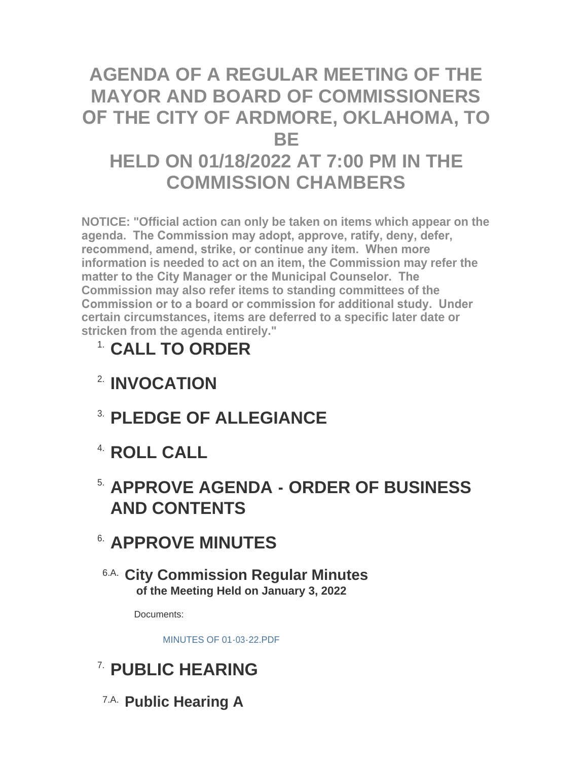# **AGENDA OF A REGULAR MEETING OF THE MAYOR AND BOARD OF COMMISSIONERS OF THE CITY OF ARDMORE, OKLAHOMA, TO BE HELD ON 01/18/2022 AT 7:00 PM IN THE COMMISSION CHAMBERS**

**NOTICE: "Official action can only be taken on items which appear on the agenda. The Commission may adopt, approve, ratify, deny, defer, recommend, amend, strike, or continue any item. When more information is needed to act on an item, the Commission may refer the matter to the City Manager or the Municipal Counselor. The Commission may also refer items to standing committees of the Commission or to a board or commission for additional study. Under certain circumstances, items are deferred to a specific later date or stricken from the agenda entirely."**

# **CALL TO ORDER** 1.

- **INVOCATION** 2.
- **PLEDGE OF ALLEGIANCE** 3.
- **ROLL CALL** 4.

# **APPROVE AGENDA - ORDER OF BUSINESS**  5. **AND CONTENTS**

# **APPROVE MINUTES** 6.

**City Commission Regular Minutes** 6.A. **of the Meeting Held on January 3, 2022**

Documents:

[MINUTES OF 01-03-22.PDF](http://www.ardmorecity.org/AgendaCenter/ViewFile/Item/8053?fileID=4897)

# **PUBLIC HEARING** 7.

**Public Hearing A** 7.A.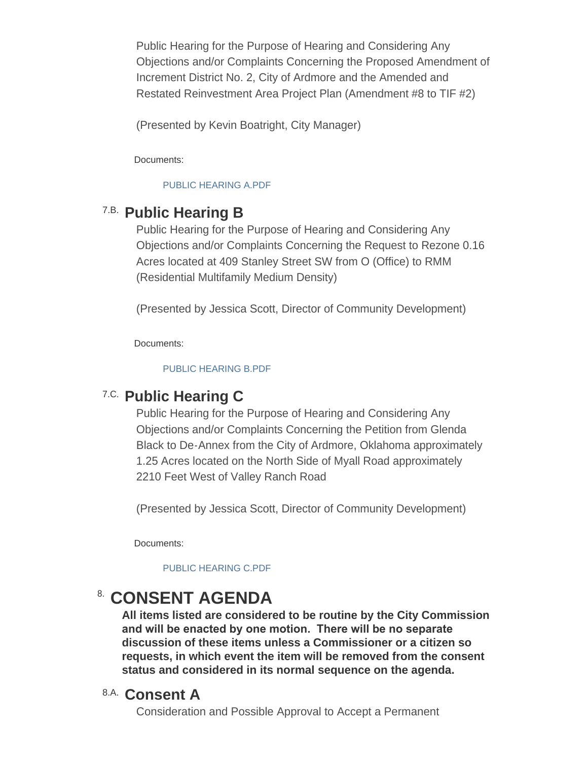Public Hearing for the Purpose of Hearing and Considering Any Objections and/or Complaints Concerning the Proposed Amendment of Increment District No. 2, City of Ardmore and the Amended and Restated Reinvestment Area Project Plan (Amendment #8 to TIF #2)

(Presented by Kevin Boatright, City Manager)

Documents:

#### [PUBLIC HEARING A.PDF](http://www.ardmorecity.org/AgendaCenter/ViewFile/Item/8050?fileID=4900)

## **Public Hearing B** 7.B.

Public Hearing for the Purpose of Hearing and Considering Any Objections and/or Complaints Concerning the Request to Rezone 0.16 Acres located at 409 Stanley Street SW from O (Office) to RMM (Residential Multifamily Medium Density)

(Presented by Jessica Scott, Director of Community Development)

Documents:

#### [PUBLIC HEARING B.PDF](http://www.ardmorecity.org/AgendaCenter/ViewFile/Item/8060?fileID=4901)

## **Public Hearing C** 7.C.

Public Hearing for the Purpose of Hearing and Considering Any Objections and/or Complaints Concerning the Petition from Glenda Black to De-Annex from the City of Ardmore, Oklahoma approximately 1.25 Acres located on the North Side of Myall Road approximately 2210 Feet West of Valley Ranch Road

(Presented by Jessica Scott, Director of Community Development)

Documents:

### [PUBLIC HEARING C.PDF](http://www.ardmorecity.org/AgendaCenter/ViewFile/Item/8061?fileID=4902)

# **CONSENT AGENDA**

**All items listed are considered to be routine by the City Commission and will be enacted by one motion. There will be no separate discussion of these items unless a Commissioner or a citizen so requests, in which event the item will be removed from the consent status and considered in its normal sequence on the agenda.**

## **Consent A** 8.A.

Consideration and Possible Approval to Accept a Permanent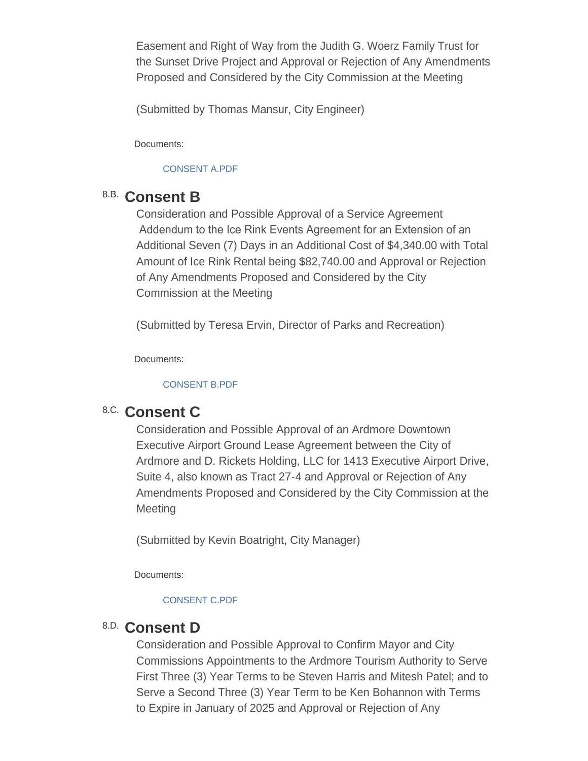Easement and Right of Way from the Judith G. Woerz Family Trust for the Sunset Drive Project and Approval or Rejection of Any Amendments Proposed and Considered by the City Commission at the Meeting

(Submitted by Thomas Mansur, City Engineer)

Documents:

### [CONSENT A.PDF](http://www.ardmorecity.org/AgendaCenter/ViewFile/Item/8054?fileID=4903)

## **Consent B** 8.B.

Consideration and Possible Approval of a Service Agreement Addendum to the Ice Rink Events Agreement for an Extension of an Additional Seven (7) Days in an Additional Cost of \$4,340.00 with Total Amount of Ice Rink Rental being \$82,740.00 and Approval or Rejection of Any Amendments Proposed and Considered by the City Commission at the Meeting

(Submitted by Teresa Ervin, Director of Parks and Recreation)

Documents:

#### [CONSENT B.PDF](http://www.ardmorecity.org/AgendaCenter/ViewFile/Item/8065?fileID=4904)

# 8.C. Consent C

Consideration and Possible Approval of an Ardmore Downtown Executive Airport Ground Lease Agreement between the City of Ardmore and D. Rickets Holding, LLC for 1413 Executive Airport Drive, Suite 4, also known as Tract 27-4 and Approval or Rejection of Any Amendments Proposed and Considered by the City Commission at the **Meeting** 

(Submitted by Kevin Boatright, City Manager)

Documents:

### [CONSENT C.PDF](http://www.ardmorecity.org/AgendaCenter/ViewFile/Item/8068?fileID=4905)

## **Consent D** 8.D.

Consideration and Possible Approval to Confirm Mayor and City Commissions Appointments to the Ardmore Tourism Authority to Serve First Three (3) Year Terms to be Steven Harris and Mitesh Patel; and to Serve a Second Three (3) Year Term to be Ken Bohannon with Terms to Expire in January of 2025 and Approval or Rejection of Any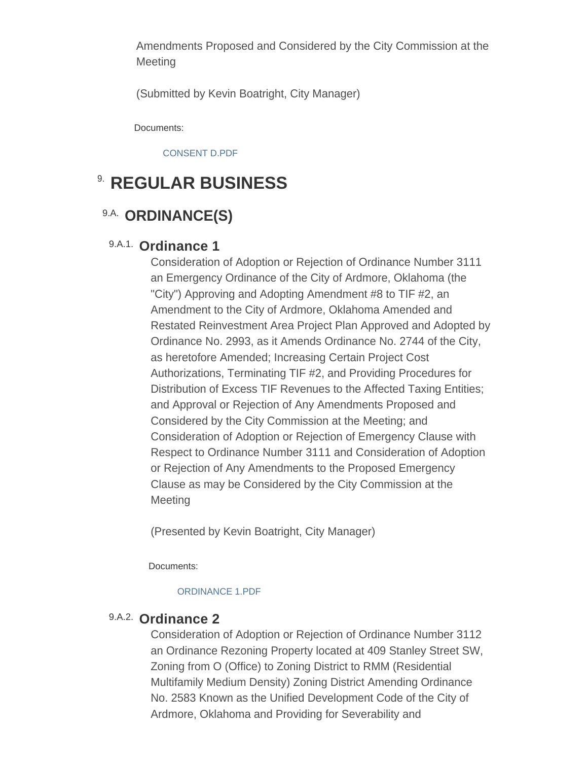Amendments Proposed and Considered by the City Commission at the **Meeting** 

(Submitted by Kevin Boatright, City Manager)

Documents:

[CONSENT D.PDF](http://www.ardmorecity.org/AgendaCenter/ViewFile/Item/8071?fileID=4906)

# **8. REGULAR BUSINESS**

## 9.A. ORDINANCE(S)

## 9.A.1. Ordinance 1

Consideration of Adoption or Rejection of Ordinance Number 3111 an Emergency Ordinance of the City of Ardmore, Oklahoma (the "City") Approving and Adopting Amendment #8 to TIF #2, an Amendment to the City of Ardmore, Oklahoma Amended and Restated Reinvestment Area Project Plan Approved and Adopted by Ordinance No. 2993, as it Amends Ordinance No. 2744 of the City, as heretofore Amended; Increasing Certain Project Cost Authorizations, Terminating TIF #2, and Providing Procedures for Distribution of Excess TIF Revenues to the Affected Taxing Entities; and Approval or Rejection of Any Amendments Proposed and Considered by the City Commission at the Meeting; and Consideration of Adoption or Rejection of Emergency Clause with Respect to Ordinance Number 3111 and Consideration of Adoption or Rejection of Any Amendments to the Proposed Emergency Clause as may be Considered by the City Commission at the **Meeting** 

(Presented by Kevin Boatright, City Manager)

Documents:

#### [ORDINANCE 1.PDF](http://www.ardmorecity.org/AgendaCenter/ViewFile/Item/8051?fileID=4907)

## 9.A.2. Ordinance 2

Consideration of Adoption or Rejection of Ordinance Number 3112 an Ordinance Rezoning Property located at 409 Stanley Street SW, Zoning from O (Office) to Zoning District to RMM (Residential Multifamily Medium Density) Zoning District Amending Ordinance No. 2583 Known as the Unified Development Code of the City of Ardmore, Oklahoma and Providing for Severability and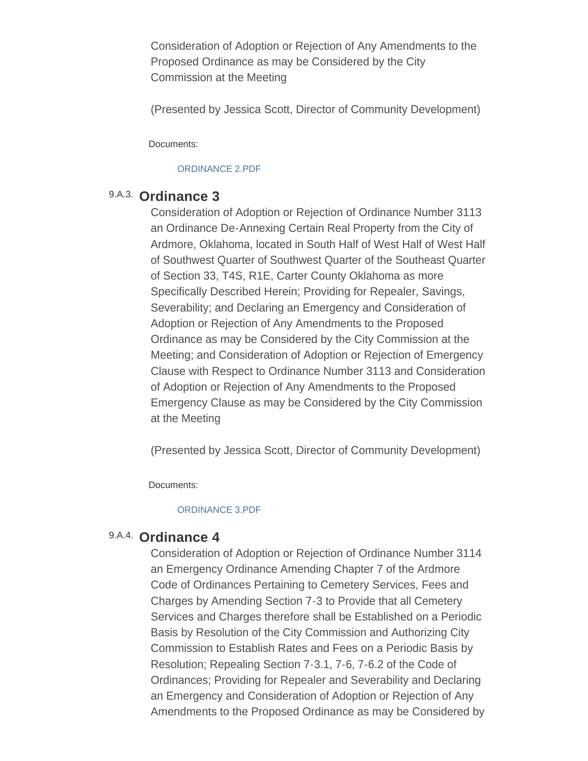Consideration of Adoption or Rejection of Any Amendments to the Proposed Ordinance as may be Considered by the City Commission at the Meeting

(Presented by Jessica Scott, Director of Community Development)

Documents:

#### [ORDINANCE 2.PDF](http://www.ardmorecity.org/AgendaCenter/ViewFile/Item/8062?fileID=4908)

### 9.A.3. Ordinance 3

Consideration of Adoption or Rejection of Ordinance Number 3113 an Ordinance De-Annexing Certain Real Property from the City of Ardmore, Oklahoma, located in South Half of West Half of West Half of Southwest Quarter of Southwest Quarter of the Southeast Quarter of Section 33, T4S, R1E, Carter County Oklahoma as more Specifically Described Herein; Providing for Repealer, Savings, Severability; and Declaring an Emergency and Consideration of Adoption or Rejection of Any Amendments to the Proposed Ordinance as may be Considered by the City Commission at the Meeting; and Consideration of Adoption or Rejection of Emergency Clause with Respect to Ordinance Number 3113 and Consideration of Adoption or Rejection of Any Amendments to the Proposed Emergency Clause as may be Considered by the City Commission at the Meeting

(Presented by Jessica Scott, Director of Community Development)

Documents:

#### [ORDINANCE 3.PDF](http://www.ardmorecity.org/AgendaCenter/ViewFile/Item/8063?fileID=4909)

## 9.A.4. Ordinance 4

Consideration of Adoption or Rejection of Ordinance Number 3114 an Emergency Ordinance Amending Chapter 7 of the Ardmore Code of Ordinances Pertaining to Cemetery Services, Fees and Charges by Amending Section 7-3 to Provide that all Cemetery Services and Charges therefore shall be Established on a Periodic Basis by Resolution of the City Commission and Authorizing City Commission to Establish Rates and Fees on a Periodic Basis by Resolution; Repealing Section 7-3.1, 7-6, 7-6.2 of the Code of Ordinances; Providing for Repealer and Severability and Declaring an Emergency and Consideration of Adoption or Rejection of Any Amendments to the Proposed Ordinance as may be Considered by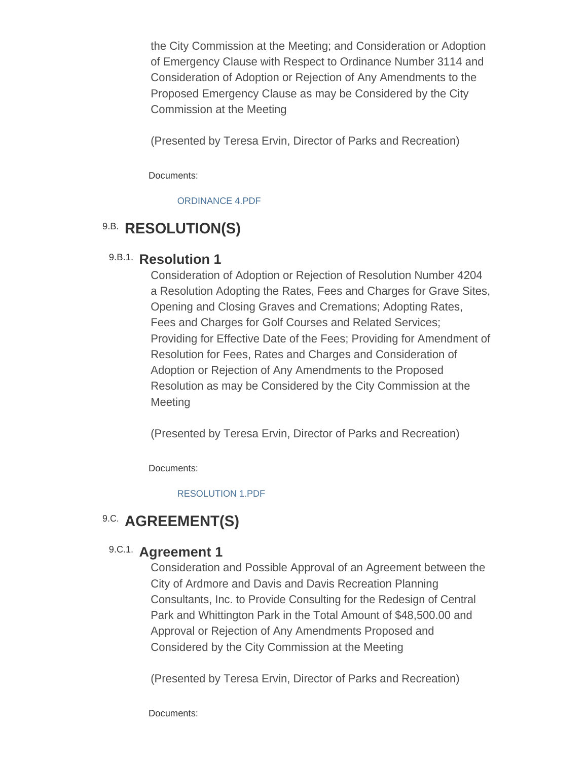the City Commission at the Meeting; and Consideration or Adoption of Emergency Clause with Respect to Ordinance Number 3114 and Consideration of Adoption or Rejection of Any Amendments to the Proposed Emergency Clause as may be Considered by the City Commission at the Meeting

(Presented by Teresa Ervin, Director of Parks and Recreation)

Documents:

[ORDINANCE 4.PDF](http://www.ardmorecity.org/AgendaCenter/ViewFile/Item/8064?fileID=4910)

## **9.B. RESOLUTION(S)**

## 9.B.1. Resolution 1

Consideration of Adoption or Rejection of Resolution Number 4204 a Resolution Adopting the Rates, Fees and Charges for Grave Sites, Opening and Closing Graves and Cremations; Adopting Rates, Fees and Charges for Golf Courses and Related Services; Providing for Effective Date of the Fees; Providing for Amendment of Resolution for Fees, Rates and Charges and Consideration of Adoption or Rejection of Any Amendments to the Proposed Resolution as may be Considered by the City Commission at the **Meeting** 

(Presented by Teresa Ervin, Director of Parks and Recreation)

Documents:

[RESOLUTION 1.PDF](http://www.ardmorecity.org/AgendaCenter/ViewFile/Item/8066?fileID=4911)

## **9.C. AGREEMENT(S)**

## 9.C.1. **Agreement 1**

Consideration and Possible Approval of an Agreement between the City of Ardmore and Davis and Davis Recreation Planning Consultants, Inc. to Provide Consulting for the Redesign of Central Park and Whittington Park in the Total Amount of \$48,500.00 and Approval or Rejection of Any Amendments Proposed and Considered by the City Commission at the Meeting

(Presented by Teresa Ervin, Director of Parks and Recreation)

Documents: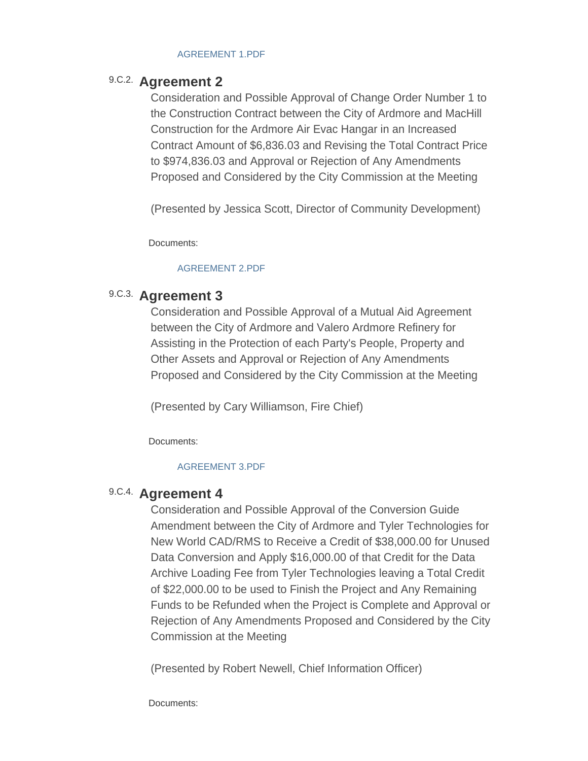#### [AGREEMENT 1.PDF](http://www.ardmorecity.org/AgendaCenter/ViewFile/Item/8070?fileID=4912)

### 9.C.2. **Agreement 2**

Consideration and Possible Approval of Change Order Number 1 to the Construction Contract between the City of Ardmore and MacHill Construction for the Ardmore Air Evac Hangar in an Increased Contract Amount of \$6,836.03 and Revising the Total Contract Price to \$974,836.03 and Approval or Rejection of Any Amendments Proposed and Considered by the City Commission at the Meeting

(Presented by Jessica Scott, Director of Community Development)

Documents:

#### [AGREEMENT 2.PDF](http://www.ardmorecity.org/AgendaCenter/ViewFile/Item/8059?fileID=4913)

### 9.C.3. Agreement 3

Consideration and Possible Approval of a Mutual Aid Agreement between the City of Ardmore and Valero Ardmore Refinery for Assisting in the Protection of each Party's People, Property and Other Assets and Approval or Rejection of Any Amendments Proposed and Considered by the City Commission at the Meeting

(Presented by Cary Williamson, Fire Chief)

Documents:

#### [AGREEMENT 3.PDF](http://www.ardmorecity.org/AgendaCenter/ViewFile/Item/8055?fileID=4914)

## 9.C.4. **Agreement 4**

Consideration and Possible Approval of the Conversion Guide Amendment between the City of Ardmore and Tyler Technologies for New World CAD/RMS to Receive a Credit of \$38,000.00 for Unused Data Conversion and Apply \$16,000.00 of that Credit for the Data Archive Loading Fee from Tyler Technologies leaving a Total Credit of \$22,000.00 to be used to Finish the Project and Any Remaining Funds to be Refunded when the Project is Complete and Approval or Rejection of Any Amendments Proposed and Considered by the City Commission at the Meeting

(Presented by Robert Newell, Chief Information Officer)

Documents: